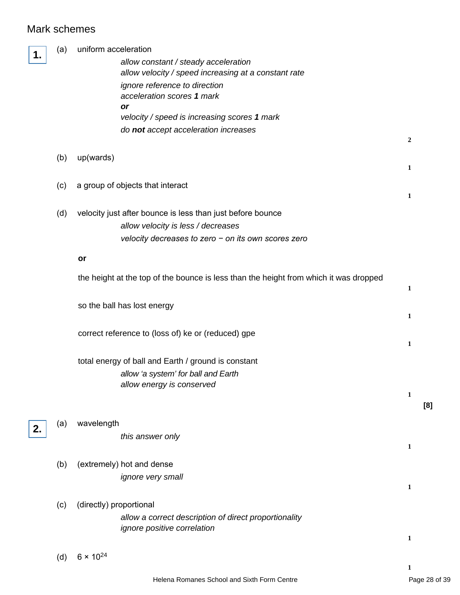## Mark schemes

 $\overline{\mathbb{L}}$ 

| 1. | (a) | uniform acceleration                                                                  |                |     |
|----|-----|---------------------------------------------------------------------------------------|----------------|-----|
|    |     | allow constant / steady acceleration                                                  |                |     |
|    |     | allow velocity / speed increasing at a constant rate                                  |                |     |
|    |     | ignore reference to direction<br>acceleration scores 1 mark                           |                |     |
|    |     | or                                                                                    |                |     |
|    |     | velocity / speed is increasing scores 1 mark                                          |                |     |
|    |     | do not accept acceleration increases                                                  |                |     |
|    |     |                                                                                       | $\overline{2}$ |     |
|    | (b) | up(wards)                                                                             |                |     |
|    |     |                                                                                       | 1              |     |
|    | (c) | a group of objects that interact                                                      |                |     |
|    |     |                                                                                       | $\mathbf{1}$   |     |
|    | (d) | velocity just after bounce is less than just before bounce                            |                |     |
|    |     | allow velocity is less / decreases                                                    |                |     |
|    |     | velocity decreases to zero $-$ on its own scores zero                                 |                |     |
|    |     |                                                                                       |                |     |
|    |     | or                                                                                    |                |     |
|    |     | the height at the top of the bounce is less than the height from which it was dropped |                |     |
|    |     |                                                                                       | $\mathbf{1}$   |     |
|    |     |                                                                                       |                |     |
|    |     | so the ball has lost energy                                                           | $\mathbf{1}$   |     |
|    |     |                                                                                       |                |     |
|    |     | correct reference to (loss of) ke or (reduced) gpe                                    | 1              |     |
|    |     |                                                                                       |                |     |
|    |     | total energy of ball and Earth / ground is constant                                   |                |     |
|    |     | allow 'a system' for ball and Earth                                                   |                |     |
|    |     | allow energy is conserved                                                             | $\mathbf{1}$   |     |
|    |     |                                                                                       |                | [8] |
|    |     | wavelength                                                                            |                |     |
| 2. | (a) |                                                                                       |                |     |
|    |     | this answer only                                                                      | $\mathbf{1}$   |     |
|    |     |                                                                                       |                |     |
|    | (b) | (extremely) hot and dense                                                             |                |     |
|    |     | ignore very small                                                                     | 1              |     |
|    |     |                                                                                       |                |     |
|    | (c) | (directly) proportional                                                               |                |     |
|    |     | allow a correct description of direct proportionality                                 |                |     |
|    |     | ignore positive correlation                                                           | $\mathbf{1}$   |     |
|    |     |                                                                                       |                |     |
|    | (d) | $6 \times 10^{24}$                                                                    |                |     |
|    |     |                                                                                       | 1              |     |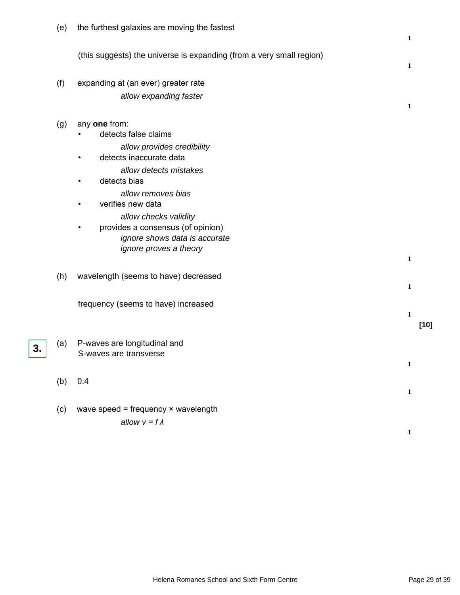|    | (e) | the furthest galaxies are moving the fastest                                                                                                                                                                                                                                                                                                | $\mathbf{1}$ |
|----|-----|---------------------------------------------------------------------------------------------------------------------------------------------------------------------------------------------------------------------------------------------------------------------------------------------------------------------------------------------|--------------|
|    |     | (this suggests) the universe is expanding (from a very small region)                                                                                                                                                                                                                                                                        | 1            |
|    | (f) | expanding at (an ever) greater rate<br>allow expanding faster                                                                                                                                                                                                                                                                               | 1            |
|    | (g) | any one from:<br>detects false claims<br>allow provides credibility<br>detects inaccurate data<br>٠<br>allow detects mistakes<br>detects bias<br>allow removes bias<br>verifies new data<br>$\bullet$<br>allow checks validity<br>provides a consensus (of opinion)<br>$\bullet$<br>ignore shows data is accurate<br>ignore proves a theory | $\mathbf{1}$ |
|    | (h) | wavelength (seems to have) decreased                                                                                                                                                                                                                                                                                                        | $\mathbf{1}$ |
|    |     | frequency (seems to have) increased                                                                                                                                                                                                                                                                                                         | 1<br>$[10]$  |
| 3. | (a) | P-waves are longitudinal and<br>S-waves are transverse                                                                                                                                                                                                                                                                                      | $\mathbf 1$  |
|    | (b) | 0.4                                                                                                                                                                                                                                                                                                                                         | $\mathbf{1}$ |
|    | (c) | wave speed = frequency $\times$ wavelength<br>allow $v = f \lambda$                                                                                                                                                                                                                                                                         | 1            |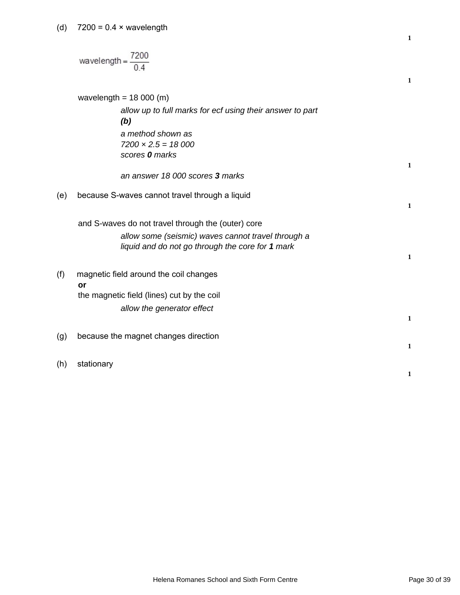(d)  $7200 = 0.4 \times$  wavelength

|     | $wavelength =$                                                                                                                                               | $\mathbf{1}$ |
|-----|--------------------------------------------------------------------------------------------------------------------------------------------------------------|--------------|
|     | wavelength = $18000$ (m)                                                                                                                                     |              |
|     | allow up to full marks for ecf using their answer to part<br>(b)                                                                                             |              |
|     | a method shown as<br>$7200 \times 2.5 = 18000$<br>scores 0 marks                                                                                             |              |
|     | an answer 18 000 scores 3 marks                                                                                                                              | $\mathbf{1}$ |
| (e) | because S-waves cannot travel through a liquid                                                                                                               | $\mathbf{1}$ |
|     | and S-waves do not travel through the (outer) core<br>allow some (seismic) waves cannot travel through a<br>liquid and do not go through the core for 1 mark | $\mathbf{1}$ |
| (f) | magnetic field around the coil changes<br>or                                                                                                                 |              |
|     | the magnetic field (lines) cut by the coil<br>allow the generator effect                                                                                     | $\mathbf{1}$ |
| (g) | because the magnet changes direction                                                                                                                         | $\mathbf{1}$ |
| (h) | stationary                                                                                                                                                   | 1            |

**1**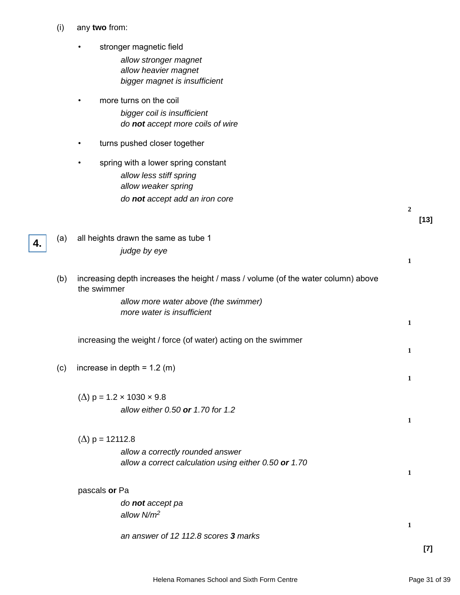- (i) any **two** from:
	- stronger magnetic field allow stronger magnet allow heavier magnet bigger magnet is insufficient
	- more turns on the coil bigger coil is insufficient do **not** accept more coils of wire
	- turns pushed closer together
	- spring with a lower spring constant allow less stiff spring allow weaker spring do **not** accept add an iron core
- (a) all heights drawn the same as tube 1 judge by eye

**4.**

(b) increasing depth increases the height / mass / volume (of the water column) above the swimmer

allow more water above (the swimmer) more water is insufficient

increasing the weight / force (of water) acting on the swimmer

- (c) increase in depth =  $1.2$  (m)
	- ( $\Delta$ ) p = 1.2 × 1030 × 9.8 allow either 0.50 **or** 1.70 for 1.2
	- (Δ) p = 12112.8
		- allow a correctly rounded answer allow a correct calculation using either 0.50 **or** 1.70
	- pascals **or** Pa

do **not** accept pa allow N/m<sup>2</sup>

an answer of 12 112.8 scores **3** marks

**2**

**1**

**1**

**1**

**1**

**1**

**1**

**1**

**[13]**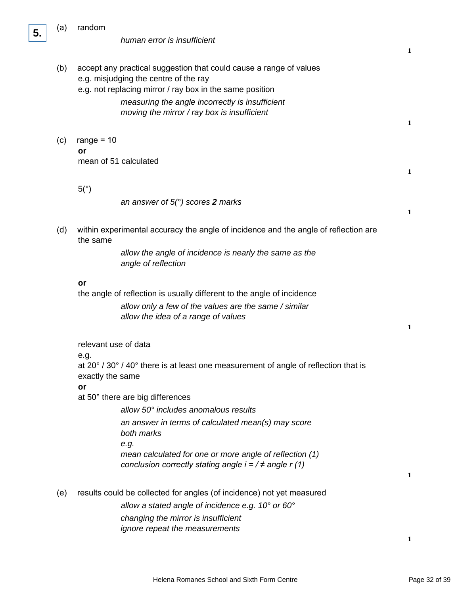

(a) random

| (b) | accept any practical suggestion that could cause a range of values<br>e.g. misjudging the centre of the ray<br>e.g. not replacing mirror / ray box in the same position<br>measuring the angle incorrectly is insufficient<br>moving the mirror / ray box is insufficient       | 1            |
|-----|---------------------------------------------------------------------------------------------------------------------------------------------------------------------------------------------------------------------------------------------------------------------------------|--------------|
| (c) | range = $10$<br>or<br>mean of 51 calculated                                                                                                                                                                                                                                     | $\mathbf{1}$ |
|     | 5(°)<br>an answer of $5(°)$ scores 2 marks                                                                                                                                                                                                                                      | 1            |
| (d) | within experimental accuracy the angle of incidence and the angle of reflection are<br>the same<br>allow the angle of incidence is nearly the same as the<br>angle of reflection                                                                                                |              |
|     | or<br>the angle of reflection is usually different to the angle of incidence<br>allow only a few of the values are the same / similar<br>allow the idea of a range of values                                                                                                    | $\mathbf{1}$ |
|     | relevant use of data<br>e.g.<br>at 20° / 30° / 40° there is at least one measurement of angle of reflection that is<br>exactly the same<br>or<br>at 50° there are big differences<br>allow 50° includes anomalous results<br>an answer in terms of calculated mean(s) may score |              |
|     | both marks<br>e.g.<br>mean calculated for one or more angle of reflection (1)<br>conclusion correctly stating angle $i = 7 \neq$ angle r (1)                                                                                                                                    | 1            |
| (e) | results could be collected for angles (of incidence) not yet measured<br>allow a stated angle of incidence e.g. 10 $^{\circ}$ or 60 $^{\circ}$<br>changing the mirror is insufficient<br>ignore repeat the measurements                                                         |              |

**1**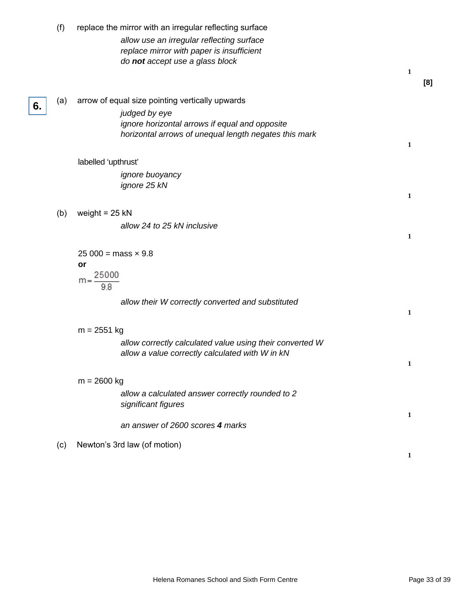|    | (f) | replace the mirror with an irregular reflecting surface                                                                   |              |     |
|----|-----|---------------------------------------------------------------------------------------------------------------------------|--------------|-----|
|    |     | allow use an irregular reflecting surface<br>replace mirror with paper is insufficient<br>do not accept use a glass block |              |     |
|    |     |                                                                                                                           | $\mathbf{1}$ | [8] |
|    | (a) | arrow of equal size pointing vertically upwards                                                                           |              |     |
| 6. |     | judged by eye                                                                                                             |              |     |
|    |     | ignore horizontal arrows if equal and opposite                                                                            |              |     |
|    |     | horizontal arrows of unequal length negates this mark                                                                     |              |     |
|    |     |                                                                                                                           | 1            |     |
|    |     | labelled 'upthrust'                                                                                                       |              |     |
|    |     | <i>ignore buoyancy</i>                                                                                                    |              |     |
|    |     | ignore 25 kN                                                                                                              |              |     |
|    |     |                                                                                                                           | $\mathbf{1}$ |     |
|    | (b) | weight = $25$ kN                                                                                                          |              |     |
|    |     | allow 24 to 25 kN inclusive                                                                                               |              |     |
|    |     |                                                                                                                           | $\mathbf{1}$ |     |
|    |     | $25\,000 = \text{mass} \times 9.8$                                                                                        |              |     |
|    |     | or                                                                                                                        |              |     |
|    |     | $m = \frac{25000}{1000}$                                                                                                  |              |     |
|    |     | 9.8                                                                                                                       |              |     |
|    |     | allow their W correctly converted and substituted                                                                         |              |     |
|    |     |                                                                                                                           | $\mathbf{1}$ |     |
|    |     | $m = 2551$ kg                                                                                                             |              |     |
|    |     | allow correctly calculated value using their converted W                                                                  |              |     |
|    |     | allow a value correctly calculated with W in kN                                                                           |              |     |
|    |     |                                                                                                                           | 1            |     |
|    |     | $m = 2600$ kg                                                                                                             |              |     |
|    |     | allow a calculated answer correctly rounded to 2                                                                          |              |     |
|    |     | significant figures                                                                                                       |              |     |
|    |     |                                                                                                                           | 1            |     |
|    |     | an answer of 2600 scores 4 marks                                                                                          |              |     |
|    | (c) | Newton's 3rd law (of motion)                                                                                              |              |     |
|    |     |                                                                                                                           | 1            |     |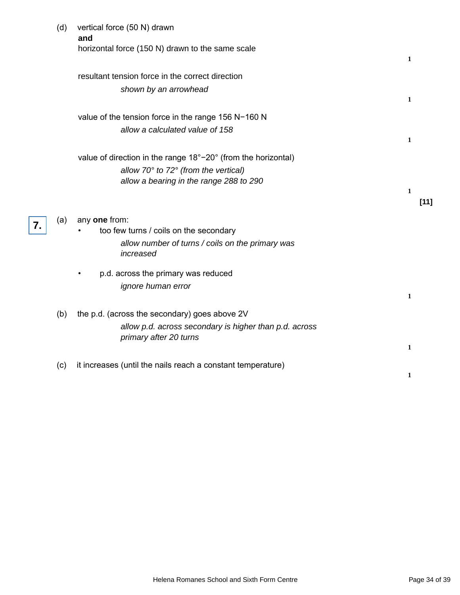|    | (d) | vertical force (50 N) drawn<br>and                                                                                                                             |                              |        |
|----|-----|----------------------------------------------------------------------------------------------------------------------------------------------------------------|------------------------------|--------|
|    |     | horizontal force (150 N) drawn to the same scale                                                                                                               | $\mathbf{1}$                 |        |
|    |     | resultant tension force in the correct direction<br>shown by an arrowhead                                                                                      |                              |        |
|    |     | value of the tension force in the range 156 N-160 N<br>allow a calculated value of 158                                                                         | $\mathbf{1}$<br>$\mathbf{1}$ |        |
|    |     | value of direction in the range 18°-20° (from the horizontal)<br>allow $70^\circ$ to $72^\circ$ (from the vertical)<br>allow a bearing in the range 288 to 290 |                              |        |
|    |     |                                                                                                                                                                | 1                            | $[11]$ |
| 7. | (a) | any one from:<br>too few turns / coils on the secondary<br>allow number of turns / coils on the primary was<br>increased                                       |                              |        |
|    |     | p.d. across the primary was reduced<br>ignore human error                                                                                                      | $\mathbf{1}$                 |        |
|    | (b) | the p.d. (across the secondary) goes above 2V<br>allow p.d. across secondary is higher than p.d. across<br>primary after 20 turns                              | $\mathbf{1}$                 |        |
|    | (c) | it increases (until the nails reach a constant temperature)                                                                                                    | 1                            |        |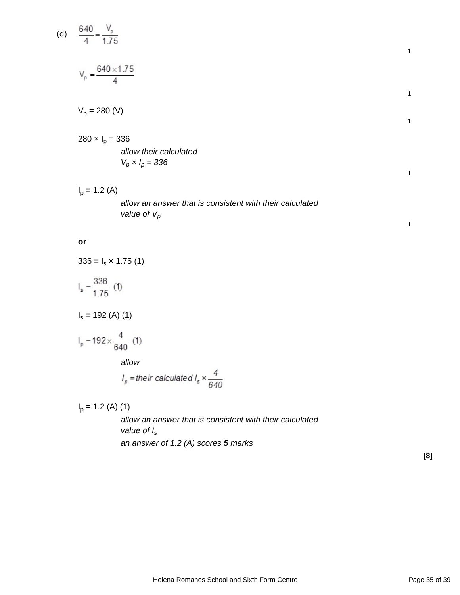(d) 
$$
\frac{640}{4} = \frac{V_p}{1.75}
$$
  
\n
$$
V_p = \frac{640 \times 1.75}{4}
$$
  
\n
$$
V_p = 280 \text{ (V)}
$$
  
\n280 x I<sub>p</sub> = 336  
\n*allow their calculated*  
\n
$$
V_p \times I_p = 336
$$
  
\n
$$
I_p = 1.2 \text{ (A)}
$$
  
\n*allow an answer that is consistent with their calculated value of V<sub>p</sub>*

## **or**

$$
336 = I_s \times 1.75(1)
$$

$$
I_s = \frac{336}{1.75} (1)
$$

 $I_s = 192$  (A) (1)

$$
I_p = 192 \times \frac{4}{640} \text{ (1)}
$$

allow

$$
I_p = \text{their calculated } I_s \times \frac{4}{640}
$$

 $I_p = 1.2$  (A) (1)

allow an answer that is consistent with their calculated value of  $I_s$ an answer of 1.2 (A) scores **5** marks

**[8]**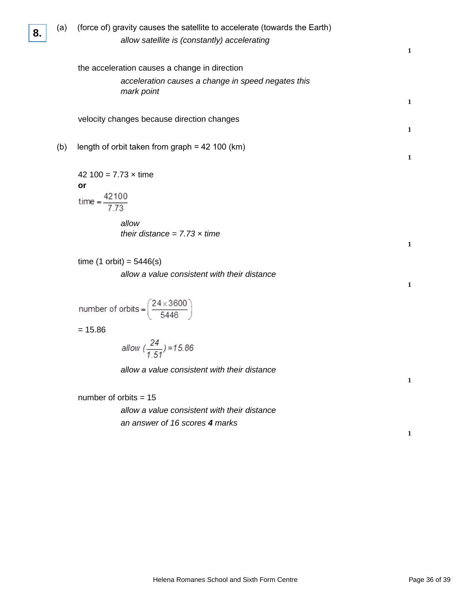| (a) | (force of) gravity causes the satellite to accelerate (towards the Earth)<br>allow satellite is (constantly) accelerating                                                  | $\mathbf{1}$                 |
|-----|----------------------------------------------------------------------------------------------------------------------------------------------------------------------------|------------------------------|
|     | the acceleration causes a change in direction<br>acceleration causes a change in speed negates this<br>mark point                                                          | $\mathbf{1}$                 |
|     | velocity changes because direction changes                                                                                                                                 | $\mathbf{1}$                 |
| (b) | length of orbit taken from graph = $42$ 100 (km)                                                                                                                           | $\mathbf{1}$                 |
|     | 42 100 = $7.73 \times$ time<br>or<br>time = $\frac{42100}{7.73}$<br>allow<br>their distance = $7.73 \times$ time                                                           |                              |
|     | time $(1 \text{ orbit}) = 5446(s)$<br>allow a value consistent with their distance                                                                                         | $\mathbf{1}$<br>$\mathbf{1}$ |
|     | number of orbits = $\left(\frac{24 \times 3600}{5446}\right)$<br>$= 15.86$<br>allow $\left(\frac{24}{1.51}\right)$ = 15.86<br>allow a value consistent with their distance | 1                            |
|     | number of orbits $= 15$<br>allow a value consistent with their distance<br>an answer of 16 scores 4 marks                                                                  | 1                            |

**8.**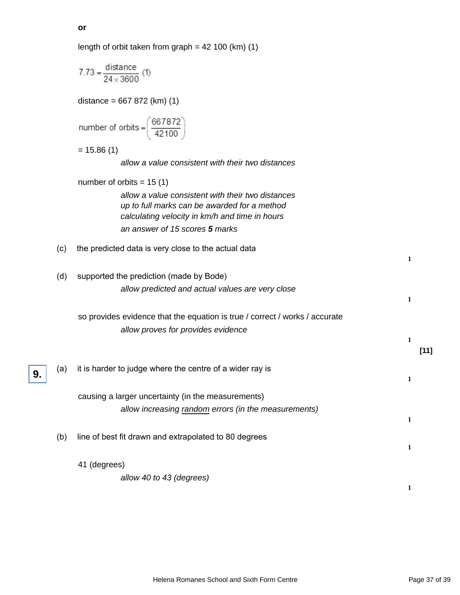|     | length of orbit taken from graph = $42$ 100 (km) (1)                                                                                                |              |        |
|-----|-----------------------------------------------------------------------------------------------------------------------------------------------------|--------------|--------|
|     | 7.73 = $\frac{\text{distance}}{24 \times 3600}$ (1)                                                                                                 |              |        |
|     | distance = $667 872$ (km) (1)                                                                                                                       |              |        |
|     | number of orbits = $\left(\frac{667872}{42100}\right)$                                                                                              |              |        |
|     | $= 15.86(1)$                                                                                                                                        |              |        |
|     | allow a value consistent with their two distances                                                                                                   |              |        |
|     | number of orbits = $15(1)$                                                                                                                          |              |        |
|     | allow a value consistent with their two distances<br>up to full marks can be awarded for a method<br>calculating velocity in km/h and time in hours |              |        |
|     | an answer of 15 scores 5 marks                                                                                                                      |              |        |
| (c) | the predicted data is very close to the actual data                                                                                                 | 1            |        |
| (d) | supported the prediction (made by Bode)                                                                                                             |              |        |
|     | allow predicted and actual values are very close                                                                                                    | 1            |        |
|     | so provides evidence that the equation is true / correct / works / accurate                                                                         |              |        |
|     | allow proves for provides evidence                                                                                                                  |              |        |
|     |                                                                                                                                                     | 1            | $[11]$ |
| (a) | it is harder to judge where the centre of a wider ray is                                                                                            | $\mathbf{1}$ |        |
|     | causing a larger uncertainty (in the measurements)                                                                                                  |              |        |
|     | allow increasing random errors (in the measurements)                                                                                                |              |        |
|     |                                                                                                                                                     | $\mathbf{1}$ |        |
| (b) | line of best fit drawn and extrapolated to 80 degrees                                                                                               |              |        |
|     |                                                                                                                                                     | 1            |        |
|     | 41 (degrees)                                                                                                                                        |              |        |
|     | allow 40 to 43 (degrees)                                                                                                                            |              |        |
|     |                                                                                                                                                     | 1            |        |

**or**

**9.**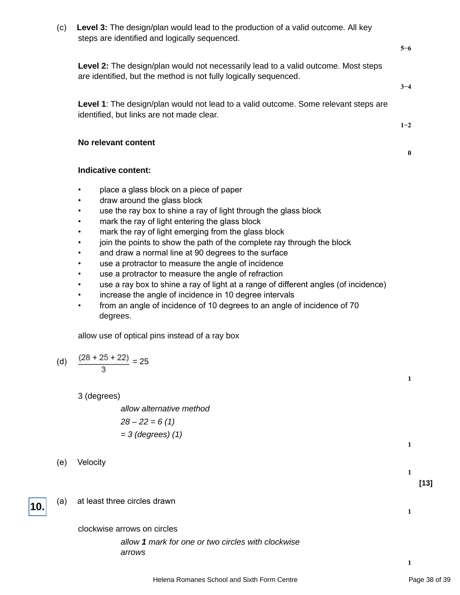|     | steps are identified and logically sequenced.                                                                                                          |          |        |
|-----|--------------------------------------------------------------------------------------------------------------------------------------------------------|----------|--------|
|     |                                                                                                                                                        | $5 - 6$  |        |
|     | Level 2: The design/plan would not necessarily lead to a valid outcome. Most steps<br>are identified, but the method is not fully logically sequenced. | $3 - 4$  |        |
|     |                                                                                                                                                        |          |        |
|     | Level 1: The design/plan would not lead to a valid outcome. Some relevant steps are<br>identified, but links are not made clear.                       |          |        |
|     |                                                                                                                                                        | $1 - 2$  |        |
|     | No relevant content                                                                                                                                    |          |        |
|     |                                                                                                                                                        | $\bf{0}$ |        |
|     | Indicative content:                                                                                                                                    |          |        |
|     | place a glass block on a piece of paper<br>$\bullet$                                                                                                   |          |        |
|     | draw around the glass block                                                                                                                            |          |        |
|     | use the ray box to shine a ray of light through the glass block                                                                                        |          |        |
|     | mark the ray of light entering the glass block                                                                                                         |          |        |
|     | mark the ray of light emerging from the glass block<br>join the points to show the path of the complete ray through the block                          |          |        |
|     | and draw a normal line at 90 degrees to the surface                                                                                                    |          |        |
|     | use a protractor to measure the angle of incidence                                                                                                     |          |        |
|     | use a protractor to measure the angle of refraction                                                                                                    |          |        |
|     | use a ray box to shine a ray of light at a range of different angles (of incidence)                                                                    |          |        |
|     | increase the angle of incidence in 10 degree intervals                                                                                                 |          |        |
|     | from an angle of incidence of 10 degrees to an angle of incidence of 70<br>$\bullet$<br>degrees.                                                       |          |        |
|     | allow use of optical pins instead of a ray box                                                                                                         |          |        |
|     | $\frac{(28 + 25 + 22)}{2} = 25$                                                                                                                        |          |        |
| (d) |                                                                                                                                                        |          |        |
|     |                                                                                                                                                        | 1        |        |
|     | 3 (degrees)                                                                                                                                            |          |        |
|     | allow alternative method                                                                                                                               |          |        |
|     | $28 - 22 = 6(1)$                                                                                                                                       |          |        |
|     | $=$ 3 (degrees) (1)                                                                                                                                    |          |        |
|     |                                                                                                                                                        | 1        |        |
| (e) | Velocity                                                                                                                                               |          |        |
|     |                                                                                                                                                        | 1        |        |
|     |                                                                                                                                                        |          | $[13]$ |
| (a) | at least three circles drawn                                                                                                                           |          |        |
|     |                                                                                                                                                        | 1        |        |
|     |                                                                                                                                                        |          |        |
|     | clockwise arrows on circles                                                                                                                            |          |        |
|     | allow 1 mark for one or two circles with clockwise                                                                                                     |          |        |
|     | arrows                                                                                                                                                 | 1        |        |
|     |                                                                                                                                                        |          |        |

(c) **Level 3:** The design/plan would lead to the production of a valid outcome. All key

**10.**